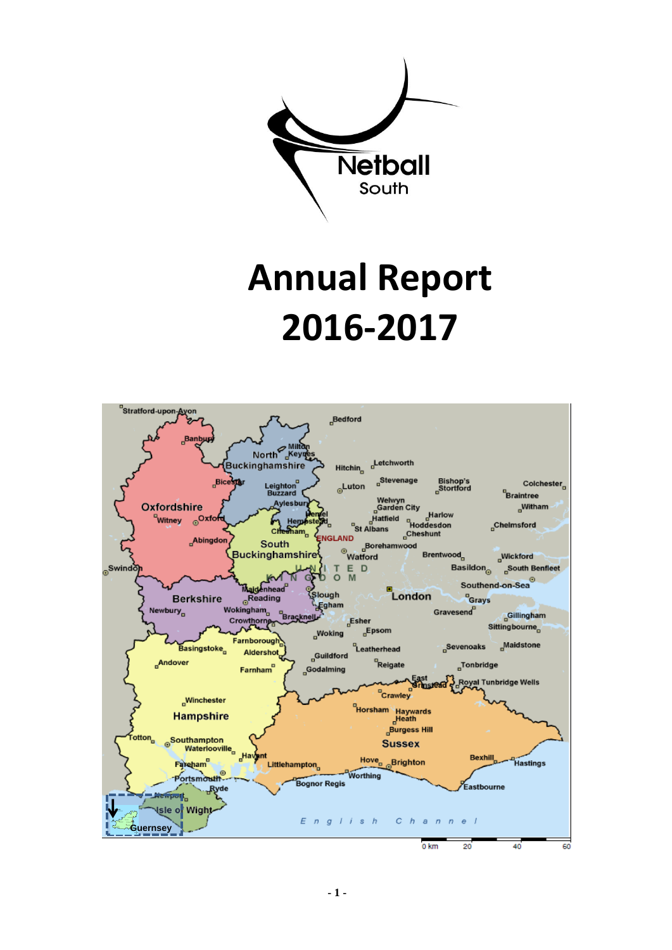

# **Annual Report 2016-2017**

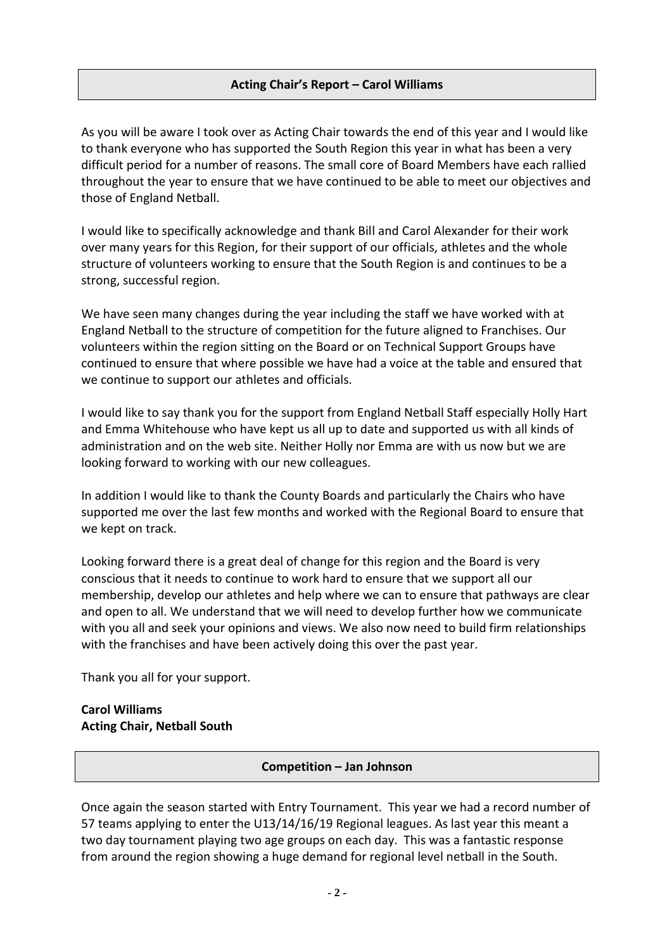## **Acting Chair's Report – Carol Williams**

As you will be aware I took over as Acting Chair towards the end of this year and I would like to thank everyone who has supported the South Region this year in what has been a very difficult period for a number of reasons. The small core of Board Members have each rallied throughout the year to ensure that we have continued to be able to meet our objectives and those of England Netball.

I would like to specifically acknowledge and thank Bill and Carol Alexander for their work over many years for this Region, for their support of our officials, athletes and the whole structure of volunteers working to ensure that the South Region is and continues to be a strong, successful region.

We have seen many changes during the year including the staff we have worked with at England Netball to the structure of competition for the future aligned to Franchises. Our volunteers within the region sitting on the Board or on Technical Support Groups have continued to ensure that where possible we have had a voice at the table and ensured that we continue to support our athletes and officials.

I would like to say thank you for the support from England Netball Staff especially Holly Hart and Emma Whitehouse who have kept us all up to date and supported us with all kinds of administration and on the web site. Neither Holly nor Emma are with us now but we are looking forward to working with our new colleagues.

In addition I would like to thank the County Boards and particularly the Chairs who have supported me over the last few months and worked with the Regional Board to ensure that we kept on track.

Looking forward there is a great deal of change for this region and the Board is very conscious that it needs to continue to work hard to ensure that we support all our membership, develop our athletes and help where we can to ensure that pathways are clear and open to all. We understand that we will need to develop further how we communicate with you all and seek your opinions and views. We also now need to build firm relationships with the franchises and have been actively doing this over the past year.

Thank you all for your support.

## **Carol Williams Acting Chair, Netball South**

#### **Competition – Jan Johnson**

Once again the season started with Entry Tournament. This year we had a record number of 57 teams applying to enter the U13/14/16/19 Regional leagues. As last year this meant a two day tournament playing two age groups on each day. This was a fantastic response from around the region showing a huge demand for regional level netball in the South.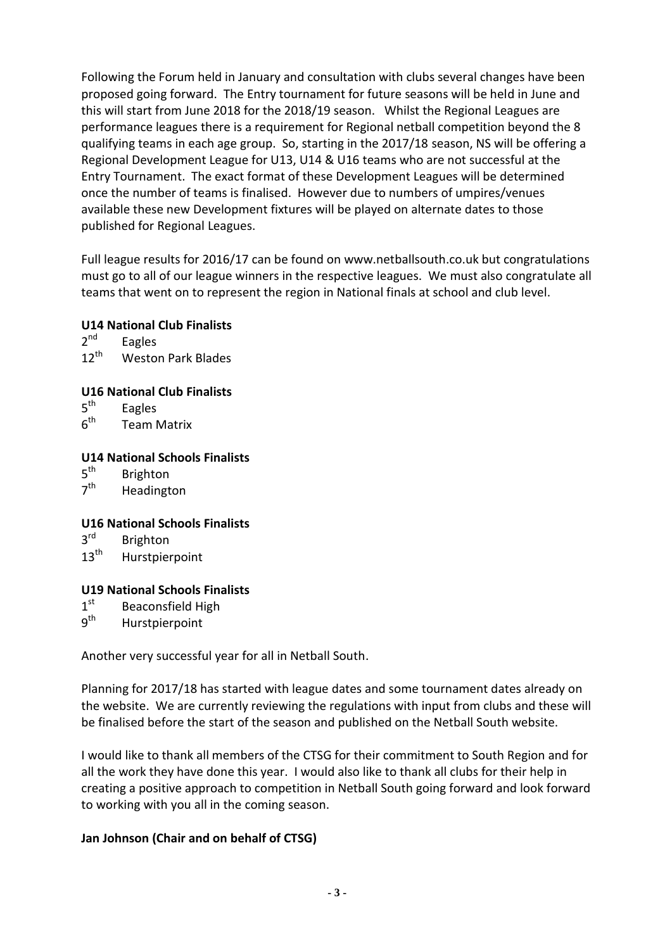Following the Forum held in January and consultation with clubs several changes have been proposed going forward. The Entry tournament for future seasons will be held in June and this will start from June 2018 for the 2018/19 season. Whilst the Regional Leagues are performance leagues there is a requirement for Regional netball competition beyond the 8 qualifying teams in each age group. So, starting in the 2017/18 season, NS will be offering a Regional Development League for U13, U14 & U16 teams who are not successful at the Entry Tournament. The exact format of these Development Leagues will be determined once the number of teams is finalised. However due to numbers of umpires/venues available these new Development fixtures will be played on alternate dates to those published for Regional Leagues.

Full league results for 2016/17 can be found on www.netballsouth.co.uk but congratulations must go to all of our league winners in the respective leagues. We must also congratulate all teams that went on to represent the region in National finals at school and club level.

## **U14 National Club Finalists**

 $2<sup>nd</sup>$ Eagles 12<sup>th</sup> Weston Park Blades

## **U16 National Club Finalists**

- $5<sup>th</sup>$ Eagles
- $6<sup>th</sup>$ **Team Matrix**

## **U14 National Schools Finalists**

- $5^{\text{th}}$ **Brighton**
- $7<sup>th</sup>$ Headington

## **U16 National Schools Finalists**

- $3^{\text{rd}}$ **Brighton**
- 13<sup>th</sup> Hurstpierpoint

## **U19 National Schools Finalists**

- $1<sup>st</sup>$ Beaconsfield High
- $9<sup>th</sup>$ Hurstpierpoint

Another very successful year for all in Netball South.

Planning for 2017/18 has started with league dates and some tournament dates already on the website. We are currently reviewing the regulations with input from clubs and these will be finalised before the start of the season and published on the Netball South website.

I would like to thank all members of the CTSG for their commitment to South Region and for all the work they have done this year. I would also like to thank all clubs for their help in creating a positive approach to competition in Netball South going forward and look forward to working with you all in the coming season.

## **Jan Johnson (Chair and on behalf of CTSG)**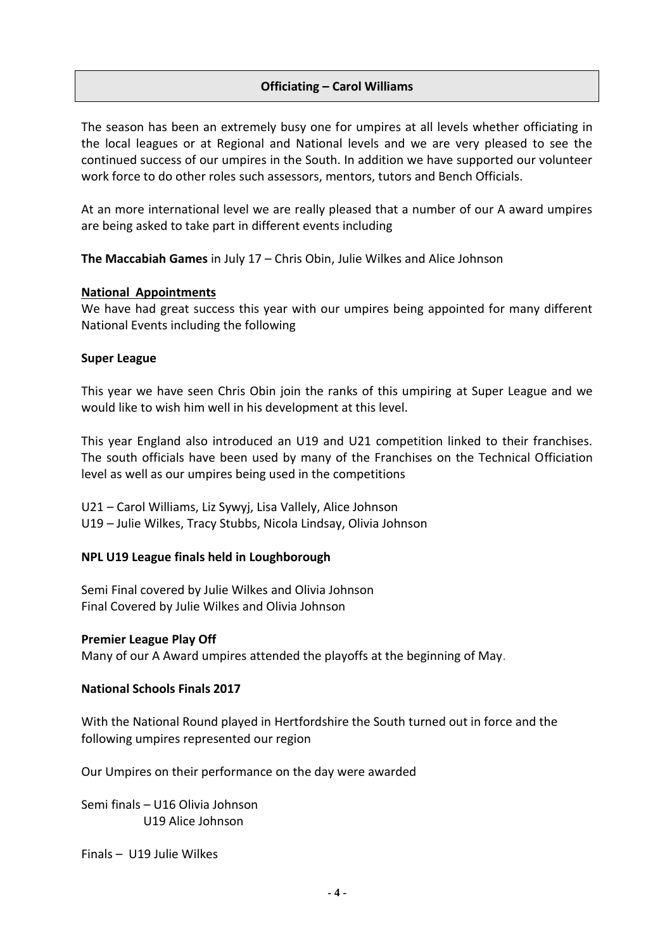## **Officiating – Carol Williams**

The season has been an extremely busy one for umpires at all levels whether officiating in the local leagues or at Regional and National levels and we are very pleased to see the continued success of our umpires in the South. In addition we have supported our volunteer work force to do other roles such assessors, mentors, tutors and Bench Officials.

At an more international level we are really pleased that a number of our A award umpires are being asked to take part in different events including

**The Maccabiah Games** in July 17 – Chris Obin, Julie Wilkes and Alice Johnson

#### **National Appointments**

We have had great success this year with our umpires being appointed for many different National Events including the following

#### **Super League**

This year we have seen Chris Obin join the ranks of this umpiring at Super League and we would like to wish him well in his development at this level.

This year England also introduced an U19 and U21 competition linked to their franchises. The south officials have been used by many of the Franchises on the Technical Officiation level as well as our umpires being used in the competitions

U21 – Carol Williams, Liz Sywyj, Lisa Vallely, Alice Johnson U19 – Julie Wilkes, Tracy Stubbs, Nicola Lindsay, Olivia Johnson

## **NPL U19 League finals held in Loughborough**

Semi Final covered by Julie Wilkes and Olivia Johnson Final Covered by Julie Wilkes and Olivia Johnson

#### **Premier League Play Off**

Many of our A Award umpires attended the playoffs at the beginning of May.

#### **National Schools Finals 2017**

With the National Round played in Hertfordshire the South turned out in force and the following umpires represented our region

Our Umpires on their performance on the day were awarded

Semi finals – U16 Olivia Johnson U19 Alice Johnson

Finals – U19 Julie Wilkes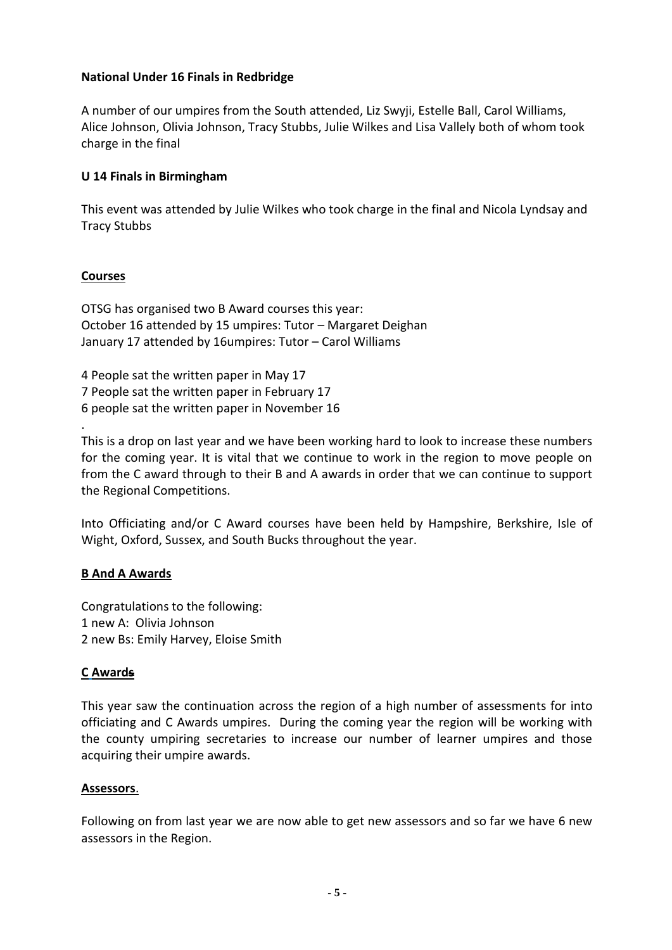## **National Under 16 Finals in Redbridge**

A number of our umpires from the South attended, Liz Swyji, Estelle Ball, Carol Williams, Alice Johnson, Olivia Johnson, Tracy Stubbs, Julie Wilkes and Lisa Vallely both of whom took charge in the final

## **U 14 Finals in Birmingham**

This event was attended by Julie Wilkes who took charge in the final and Nicola Lyndsay and Tracy Stubbs

## **Courses**

.

OTSG has organised two B Award courses this year: October 16 attended by 15 umpires: Tutor – Margaret Deighan January 17 attended by 16umpires: Tutor – Carol Williams

4 People sat the written paper in May 17 7 People sat the written paper in February 17 6 people sat the written paper in November 16

This is a drop on last year and we have been working hard to look to increase these numbers for the coming year. It is vital that we continue to work in the region to move people on from the C award through to their B and A awards in order that we can continue to support the Regional Competitions.

Into Officiating and/or C Award courses have been held by Hampshire, Berkshire, Isle of Wight, Oxford, Sussex, and South Bucks throughout the year.

#### **B And A Awards**

Congratulations to the following: 1 new A: Olivia Johnson 2 new Bs: Emily Harvey, Eloise Smith

## **C Awards**

This year saw the continuation across the region of a high number of assessments for into officiating and C Awards umpires. During the coming year the region will be working with the county umpiring secretaries to increase our number of learner umpires and those acquiring their umpire awards.

#### **Assessors**.

Following on from last year we are now able to get new assessors and so far we have 6 new assessors in the Region.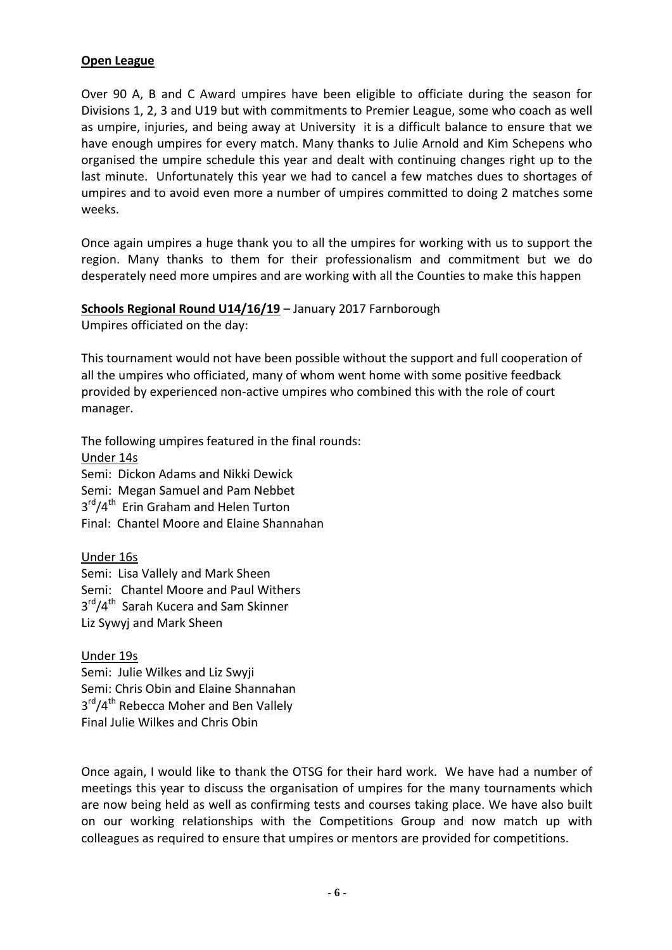#### **Open League**

Over 90 A, B and C Award umpires have been eligible to officiate during the season for Divisions 1, 2, 3 and U19 but with commitments to Premier League, some who coach as well as umpire, injuries, and being away at University it is a difficult balance to ensure that we have enough umpires for every match. Many thanks to Julie Arnold and Kim Schepens who organised the umpire schedule this year and dealt with continuing changes right up to the last minute. Unfortunately this year we had to cancel a few matches dues to shortages of umpires and to avoid even more a number of umpires committed to doing 2 matches some weeks.

Once again umpires a huge thank you to all the umpires for working with us to support the region. Many thanks to them for their professionalism and commitment but we do desperately need more umpires and are working with all the Counties to make this happen

# **Schools Regional Round U14/16/19** – January 2017 Farnborough

Umpires officiated on the day:

This tournament would not have been possible without the support and full cooperation of all the umpires who officiated, many of whom went home with some positive feedback provided by experienced non-active umpires who combined this with the role of court manager.

The following umpires featured in the final rounds: Under 14s Semi: Dickon Adams and Nikki Dewick Semi: Megan Samuel and Pam Nebbet 3<sup>rd</sup>/4<sup>th</sup> Erin Graham and Helen Turton Final: Chantel Moore and Elaine Shannahan

Under 16s Semi: Lisa Vallely and Mark Sheen Semi: Chantel Moore and Paul Withers 3<sup>rd</sup>/4<sup>th</sup> Sarah Kucera and Sam Skinner Liz Sywyj and Mark Sheen

Under 19s Semi: Julie Wilkes and Liz Swyji Semi: Chris Obin and Elaine Shannahan 3<sup>rd</sup>/4<sup>th</sup> Rebecca Moher and Ben Vallely Final Julie Wilkes and Chris Obin

Once again, I would like to thank the OTSG for their hard work. We have had a number of meetings this year to discuss the organisation of umpires for the many tournaments which are now being held as well as confirming tests and courses taking place. We have also built on our working relationships with the Competitions Group and now match up with colleagues as required to ensure that umpires or mentors are provided for competitions.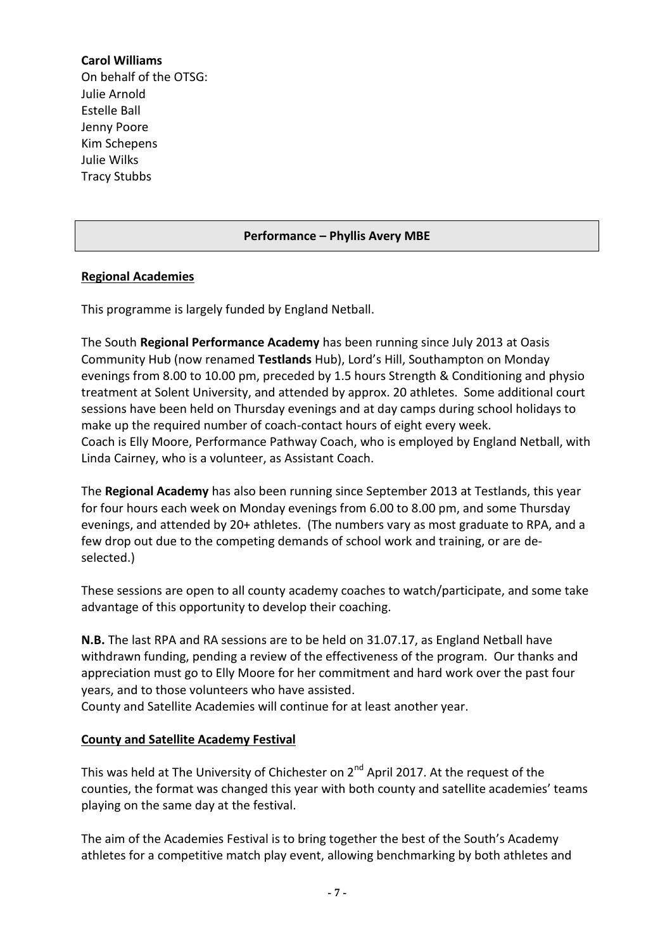## **Carol Williams**

On behalf of the OTSG: Julie Arnold Estelle Ball Jenny Poore Kim Schepens Julie Wilks Tracy Stubbs

## **Performance – Phyllis Avery MBE**

## **Regional Academies**

This programme is largely funded by England Netball.

The South **Regional Performance Academy** has been running since July 2013 at Oasis Community Hub (now renamed **Testlands** Hub), Lord's Hill, Southampton on Monday evenings from 8.00 to 10.00 pm, preceded by 1.5 hours Strength & Conditioning and physio treatment at Solent University, and attended by approx. 20 athletes. Some additional court sessions have been held on Thursday evenings and at day camps during school holidays to make up the required number of coach-contact hours of eight every week. Coach is Elly Moore, Performance Pathway Coach, who is employed by England Netball, with Linda Cairney, who is a volunteer, as Assistant Coach.

The **Regional Academy** has also been running since September 2013 at Testlands, this year for four hours each week on Monday evenings from 6.00 to 8.00 pm, and some Thursday evenings, and attended by 20+ athletes. (The numbers vary as most graduate to RPA, and a few drop out due to the competing demands of school work and training, or are deselected.)

These sessions are open to all county academy coaches to watch/participate, and some take advantage of this opportunity to develop their coaching.

**N.B.** The last RPA and RA sessions are to be held on 31.07.17, as England Netball have withdrawn funding, pending a review of the effectiveness of the program. Our thanks and appreciation must go to Elly Moore for her commitment and hard work over the past four years, and to those volunteers who have assisted.

County and Satellite Academies will continue for at least another year.

## **County and Satellite Academy Festival**

This was held at The University of Chichester on  $2^{nd}$  April 2017. At the request of the counties, the format was changed this year with both county and satellite academies' teams playing on the same day at the festival.

The aim of the Academies Festival is to bring together the best of the South's Academy athletes for a competitive match play event, allowing benchmarking by both athletes and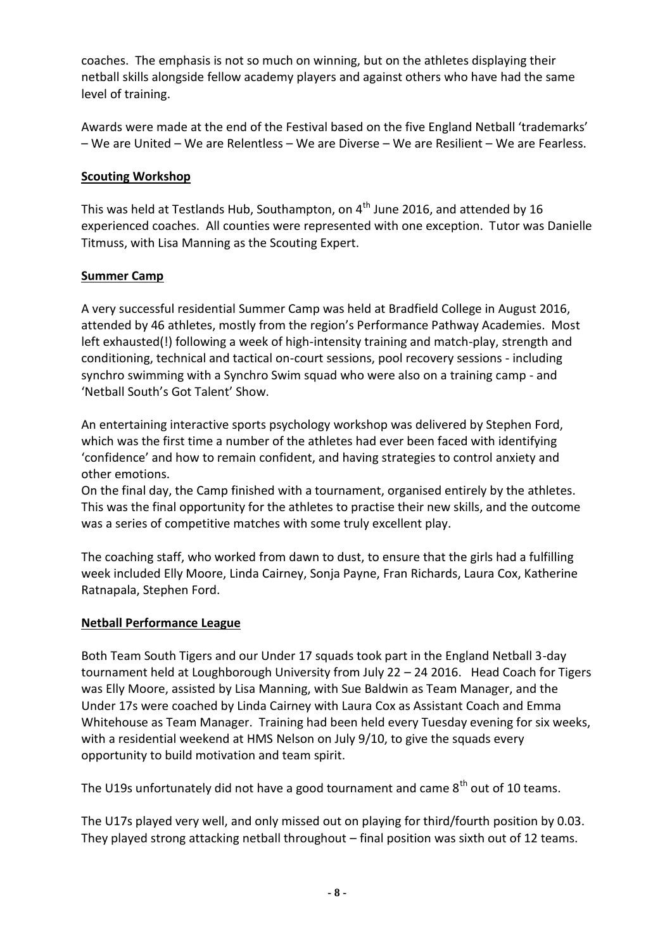coaches. The emphasis is not so much on winning, but on the athletes displaying their netball skills alongside fellow academy players and against others who have had the same level of training.

Awards were made at the end of the Festival based on the five England Netball 'trademarks' – We are United – We are Relentless – We are Diverse – We are Resilient – We are Fearless.

## **Scouting Workshop**

This was held at Testlands Hub, Southampton, on  $4<sup>th</sup>$  June 2016, and attended by 16 experienced coaches. All counties were represented with one exception. Tutor was Danielle Titmuss, with Lisa Manning as the Scouting Expert.

## **Summer Camp**

A very successful residential Summer Camp was held at Bradfield College in August 2016, attended by 46 athletes, mostly from the region's Performance Pathway Academies. Most left exhausted(!) following a week of high-intensity training and match-play, strength and conditioning, technical and tactical on-court sessions, pool recovery sessions - including synchro swimming with a Synchro Swim squad who were also on a training camp - and 'Netball South's Got Talent' Show.

An entertaining interactive sports psychology workshop was delivered by Stephen Ford, which was the first time a number of the athletes had ever been faced with identifying 'confidence' and how to remain confident, and having strategies to control anxiety and other emotions.

On the final day, the Camp finished with a tournament, organised entirely by the athletes. This was the final opportunity for the athletes to practise their new skills, and the outcome was a series of competitive matches with some truly excellent play.

The coaching staff, who worked from dawn to dust, to ensure that the girls had a fulfilling week included Elly Moore, Linda Cairney, Sonja Payne, Fran Richards, Laura Cox, Katherine Ratnapala, Stephen Ford.

## **Netball Performance League**

Both Team South Tigers and our Under 17 squads took part in the England Netball 3-day tournament held at Loughborough University from July 22 – 24 2016. Head Coach for Tigers was Elly Moore, assisted by Lisa Manning, with Sue Baldwin as Team Manager, and the Under 17s were coached by Linda Cairney with Laura Cox as Assistant Coach and Emma Whitehouse as Team Manager. Training had been held every Tuesday evening for six weeks, with a residential weekend at HMS Nelson on July 9/10, to give the squads every opportunity to build motivation and team spirit.

The U19s unfortunately did not have a good tournament and came  $8<sup>th</sup>$  out of 10 teams.

The U17s played very well, and only missed out on playing for third/fourth position by 0.03. They played strong attacking netball throughout – final position was sixth out of 12 teams.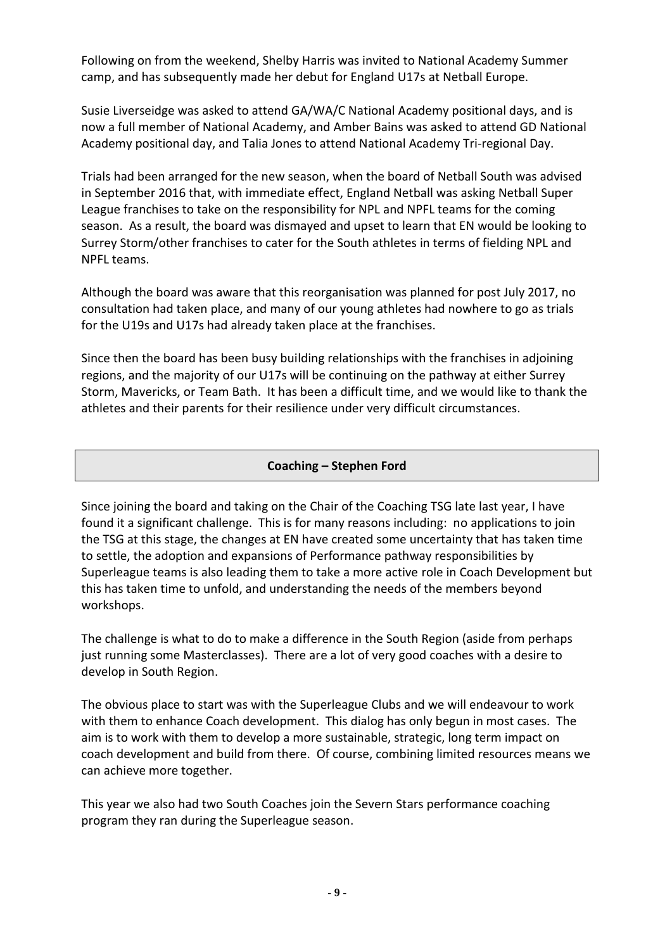Following on from the weekend, Shelby Harris was invited to National Academy Summer camp, and has subsequently made her debut for England U17s at Netball Europe.

Susie Liverseidge was asked to attend GA/WA/C National Academy positional days, and is now a full member of National Academy, and Amber Bains was asked to attend GD National Academy positional day, and Talia Jones to attend National Academy Tri-regional Day.

Trials had been arranged for the new season, when the board of Netball South was advised in September 2016 that, with immediate effect, England Netball was asking Netball Super League franchises to take on the responsibility for NPL and NPFL teams for the coming season. As a result, the board was dismayed and upset to learn that EN would be looking to Surrey Storm/other franchises to cater for the South athletes in terms of fielding NPL and NPFL teams.

Although the board was aware that this reorganisation was planned for post July 2017, no consultation had taken place, and many of our young athletes had nowhere to go as trials for the U19s and U17s had already taken place at the franchises.

Since then the board has been busy building relationships with the franchises in adjoining regions, and the majority of our U17s will be continuing on the pathway at either Surrey Storm, Mavericks, or Team Bath. It has been a difficult time, and we would like to thank the athletes and their parents for their resilience under very difficult circumstances.

## **Coaching – Stephen Ford**

Since joining the board and taking on the Chair of the Coaching TSG late last year, I have found it a significant challenge. This is for many reasons including: no applications to join the TSG at this stage, the changes at EN have created some uncertainty that has taken time to settle, the adoption and expansions of Performance pathway responsibilities by Superleague teams is also leading them to take a more active role in Coach Development but this has taken time to unfold, and understanding the needs of the members beyond workshops.

The challenge is what to do to make a difference in the South Region (aside from perhaps just running some Masterclasses). There are a lot of very good coaches with a desire to develop in South Region.

The obvious place to start was with the Superleague Clubs and we will endeavour to work with them to enhance Coach development. This dialog has only begun in most cases. The aim is to work with them to develop a more sustainable, strategic, long term impact on coach development and build from there. Of course, combining limited resources means we can achieve more together.

This year we also had two South Coaches join the Severn Stars performance coaching program they ran during the Superleague season.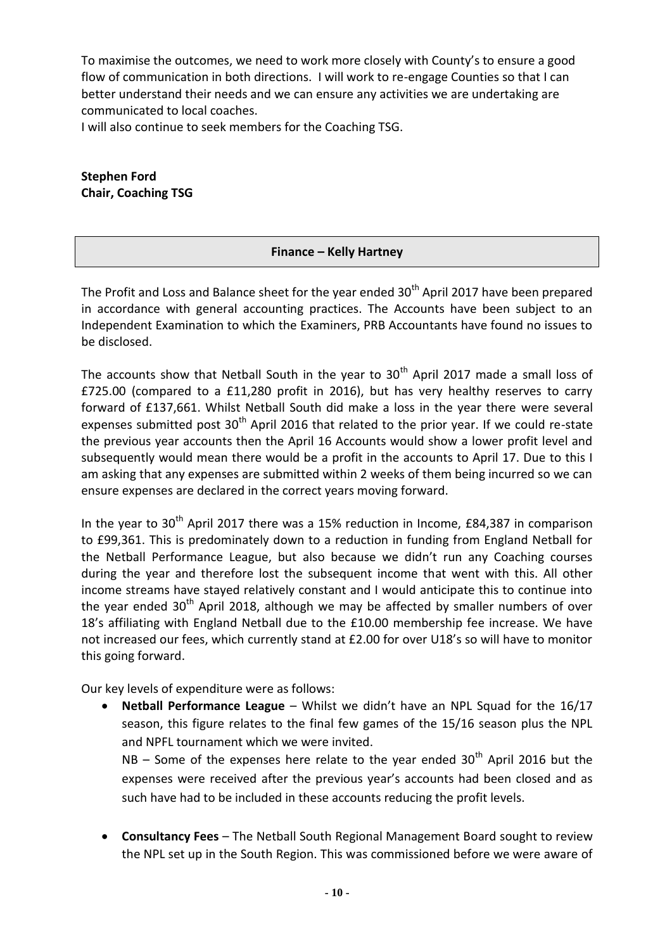To maximise the outcomes, we need to work more closely with County's to ensure a good flow of communication in both directions. I will work to re-engage Counties so that I can better understand their needs and we can ensure any activities we are undertaking are communicated to local coaches.

I will also continue to seek members for the Coaching TSG.

**Stephen Ford Chair, Coaching TSG**

## **Finance – Kelly Hartney**

The Profit and Loss and Balance sheet for the year ended 30<sup>th</sup> April 2017 have been prepared in accordance with general accounting practices. The Accounts have been subject to an Independent Examination to which the Examiners, PRB Accountants have found no issues to be disclosed.

The accounts show that Netball South in the year to  $30<sup>th</sup>$  April 2017 made a small loss of £725.00 (compared to a £11,280 profit in 2016), but has very healthy reserves to carry forward of £137,661. Whilst Netball South did make a loss in the year there were several expenses submitted post  $30<sup>th</sup>$  April 2016 that related to the prior year. If we could re-state the previous year accounts then the April 16 Accounts would show a lower profit level and subsequently would mean there would be a profit in the accounts to April 17. Due to this I am asking that any expenses are submitted within 2 weeks of them being incurred so we can ensure expenses are declared in the correct years moving forward.

In the year to 30<sup>th</sup> April 2017 there was a 15% reduction in Income, £84,387 in comparison to £99,361. This is predominately down to a reduction in funding from England Netball for the Netball Performance League, but also because we didn't run any Coaching courses during the year and therefore lost the subsequent income that went with this. All other income streams have stayed relatively constant and I would anticipate this to continue into the year ended  $30<sup>th</sup>$  April 2018, although we may be affected by smaller numbers of over 18's affiliating with England Netball due to the £10.00 membership fee increase. We have not increased our fees, which currently stand at £2.00 for over U18's so will have to monitor this going forward.

Our key levels of expenditure were as follows:

 **Netball Performance League** – Whilst we didn't have an NPL Squad for the 16/17 season, this figure relates to the final few games of the 15/16 season plus the NPL and NPFL tournament which we were invited.

 $NB -$  Some of the expenses here relate to the year ended  $30<sup>th</sup>$  April 2016 but the expenses were received after the previous year's accounts had been closed and as such have had to be included in these accounts reducing the profit levels.

 **Consultancy Fees** – The Netball South Regional Management Board sought to review the NPL set up in the South Region. This was commissioned before we were aware of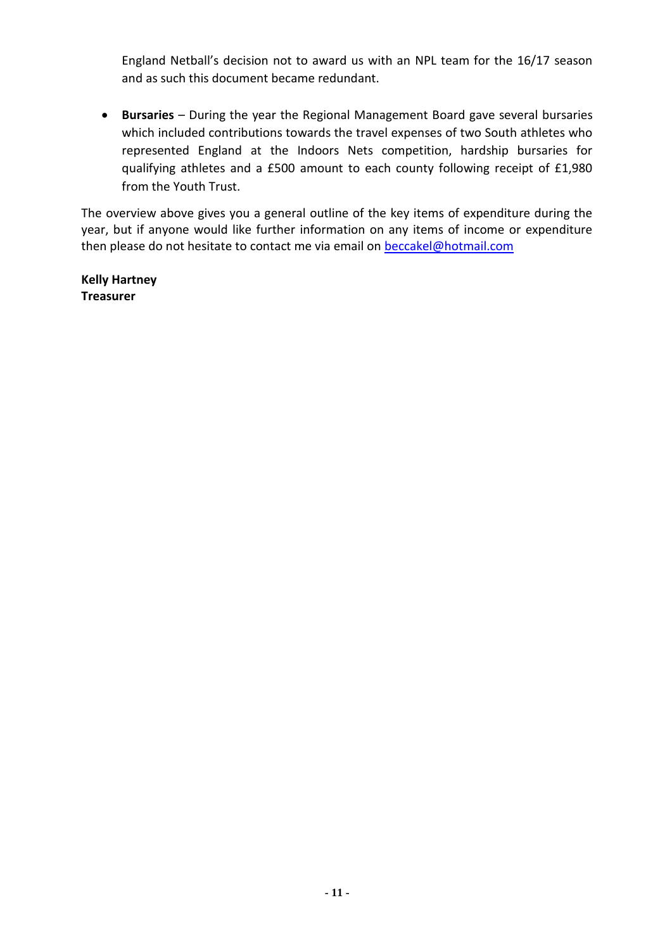England Netball's decision not to award us with an NPL team for the 16/17 season and as such this document became redundant.

 **Bursaries** – During the year the Regional Management Board gave several bursaries which included contributions towards the travel expenses of two South athletes who represented England at the Indoors Nets competition, hardship bursaries for qualifying athletes and a £500 amount to each county following receipt of £1,980 from the Youth Trust.

The overview above gives you a general outline of the key items of expenditure during the year, but if anyone would like further information on any items of income or expenditure then please do not hesitate to contact me via email on **[beccakel@hotmail.com](mailto:beccakel@hotmail.com)** 

**Kelly Hartney Treasurer**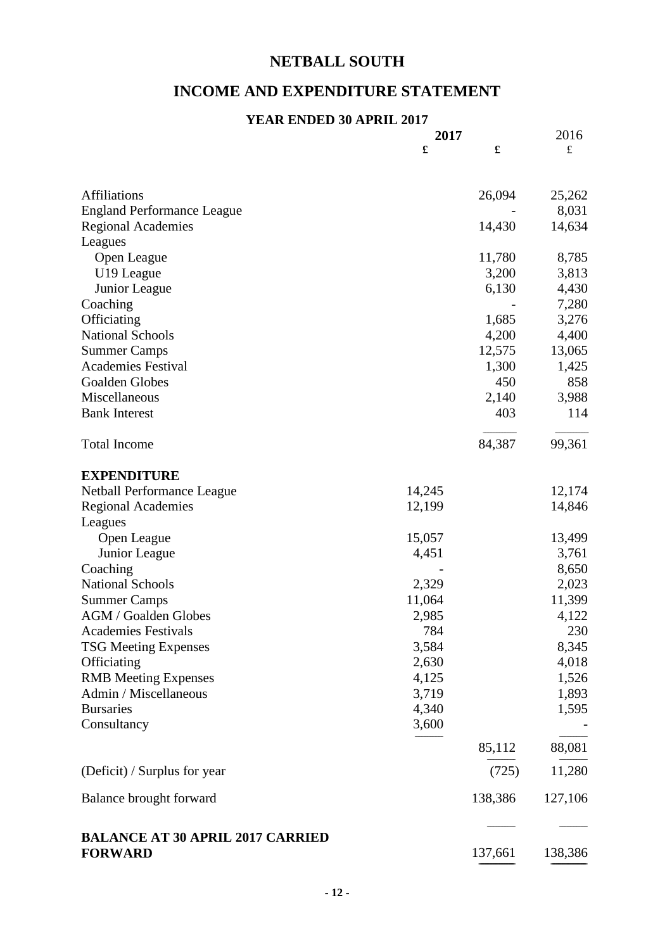# **NETBALL SOUTH**

## **INCOME AND EXPENDITURE STATEMENT**

#### **YEAR ENDED 30 APRIL 2017**

|                                         | 2017   |         | 2016      |
|-----------------------------------------|--------|---------|-----------|
|                                         | £      | £       | $\pounds$ |
|                                         |        |         |           |
| <b>Affiliations</b>                     |        | 26,094  | 25,262    |
| <b>England Performance League</b>       |        |         | 8,031     |
| <b>Regional Academies</b>               |        | 14,430  | 14,634    |
| Leagues                                 |        |         |           |
| Open League                             |        | 11,780  | 8,785     |
| U19 League                              |        | 3,200   | 3,813     |
| Junior League                           |        | 6,130   | 4,430     |
| Coaching                                |        |         | 7,280     |
| Officiating                             |        | 1,685   | 3,276     |
| <b>National Schools</b>                 |        | 4,200   | 4,400     |
| <b>Summer Camps</b>                     |        | 12,575  | 13,065    |
| <b>Academies Festival</b>               |        | 1,300   | 1,425     |
| Goalden Globes                          |        | 450     | 858       |
| Miscellaneous                           |        | 2,140   | 3,988     |
| <b>Bank Interest</b>                    |        | 403     | 114       |
| <b>Total Income</b>                     |        | 84,387  | 99,361    |
| <b>EXPENDITURE</b>                      |        |         |           |
| Netball Performance League              | 14,245 |         | 12,174    |
| <b>Regional Academies</b>               | 12,199 |         | 14,846    |
| Leagues                                 |        |         |           |
| Open League                             | 15,057 |         | 13,499    |
| Junior League                           | 4,451  |         | 3,761     |
| Coaching                                |        |         | 8,650     |
| <b>National Schools</b>                 | 2,329  |         | 2,023     |
| <b>Summer Camps</b>                     | 11,064 |         | 11,399    |
| AGM / Goalden Globes                    | 2,985  |         | 4,122     |
| <b>Academies Festivals</b>              | 784    |         | 230       |
| <b>TSG Meeting Expenses</b>             | 3,584  |         | 8,345     |
| Officiating                             | 2,630  |         | 4,018     |
| <b>RMB</b> Meeting Expenses             | 4,125  |         | 1,526     |
| Admin / Miscellaneous                   | 3,719  |         | 1,893     |
| <b>Bursaries</b>                        | 4,340  |         | 1,595     |
| Consultancy                             | 3,600  |         |           |
|                                         |        | 85,112  | 88,081    |
|                                         |        |         |           |
| (Deficit) / Surplus for year            |        | (725)   | 11,280    |
| Balance brought forward                 |        | 138,386 | 127,106   |
| <b>BALANCE AT 30 APRIL 2017 CARRIED</b> |        |         |           |
| <b>FORWARD</b>                          |        | 137,661 | 138,386   |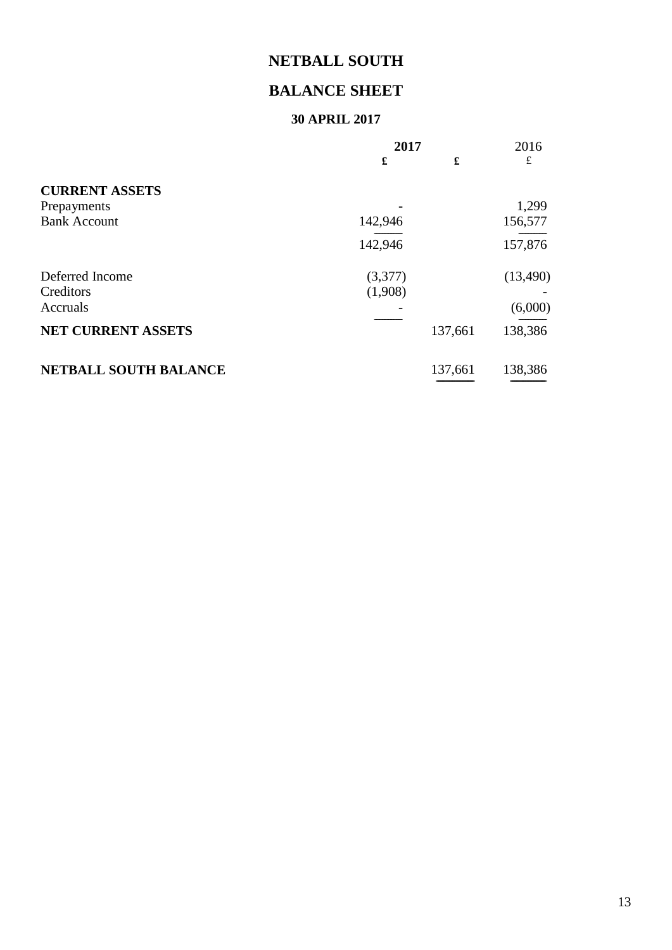# **NETBALL SOUTH**

## **BALANCE SHEET**

## **30 APRIL 2017**

=================================== =================================

|                              | 2017    |         | 2016      |
|------------------------------|---------|---------|-----------|
|                              | £       | £       | £         |
| <b>CURRENT ASSETS</b>        |         |         |           |
| Prepayments                  |         |         | 1,299     |
| <b>Bank Account</b>          | 142,946 |         | 156,577   |
|                              | 142,946 |         | 157,876   |
| Deferred Income              | (3,377) |         | (13, 490) |
| Creditors                    | (1,908) |         |           |
| Accruals                     |         |         | (6,000)   |
| <b>NET CURRENT ASSETS</b>    |         | 137,661 | 138,386   |
| <b>NETBALL SOUTH BALANCE</b> |         | 137,661 | 138,386   |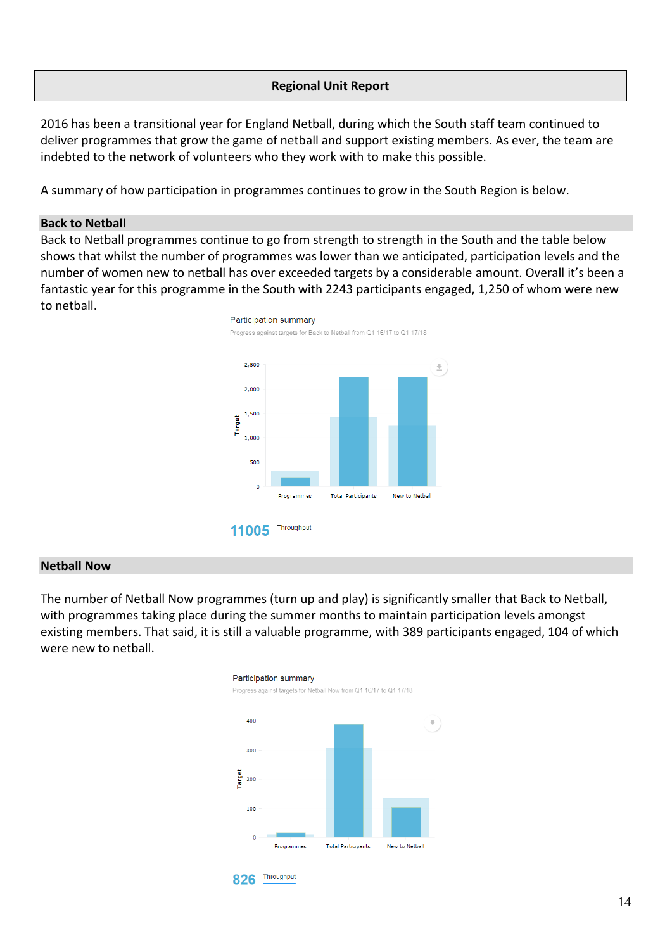## **Regional Unit Report**

2016 has been a transitional year for England Netball, during which the South staff team continued to deliver programmes that grow the game of netball and support existing members. As ever, the team are indebted to the network of volunteers who they work with to make this possible.

A summary of how participation in programmes continues to grow in the South Region is below.

#### **Back to Netball**

Back to Netball programmes continue to go from strength to strength in the South and the table below shows that whilst the number of programmes was lower than we anticipated, participation levels and the number of women new to netball has over exceeded targets by a considerable amount. Overall it's been a fantastic year for this programme in the South with 2243 participants engaged, 1,250 of whom were new to netball.



#### **Netball Now**

The number of Netball Now programmes (turn up and play) is significantly smaller that Back to Netball, with programmes taking place during the summer months to maintain participation levels amongst existing members. That said, it is still a valuable programme, with 389 participants engaged, 104 of which were new to netball.





Participation summary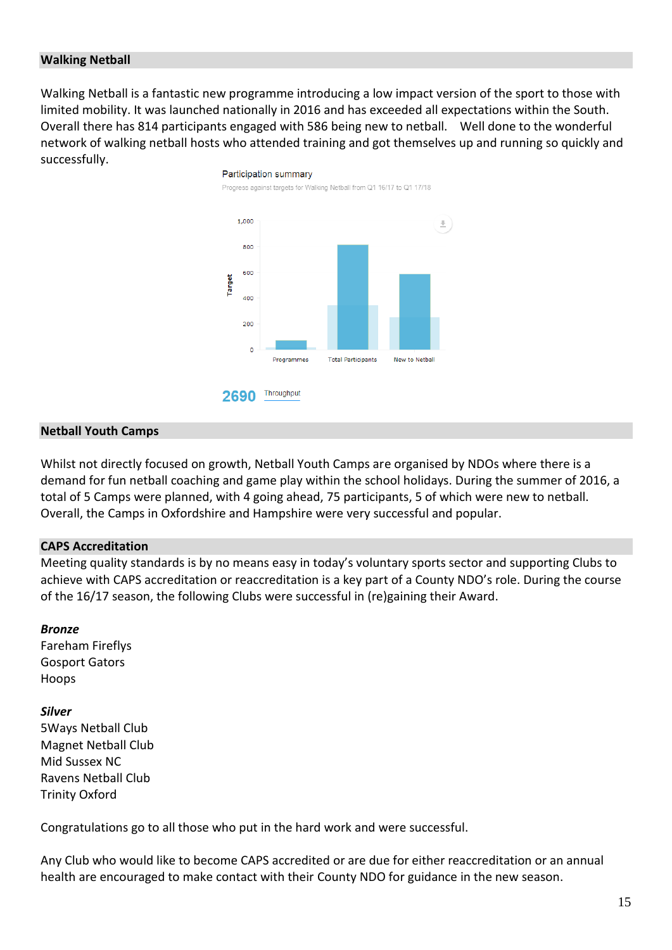#### **Walking Netball**

Walking Netball is a fantastic new programme introducing a low impact version of the sport to those with limited mobility. It was launched nationally in 2016 and has exceeded all expectations within the South. Overall there has 814 participants engaged with 586 being new to netball. Well done to the wonderful network of walking netball hosts who attended training and got themselves up and running so quickly and successfully.



#### **Netball Youth Camps**

Whilst not directly focused on growth, Netball Youth Camps are organised by NDOs where there is a demand for fun netball coaching and game play within the school holidays. During the summer of 2016, a total of 5 Camps were planned, with 4 going ahead, 75 participants, 5 of which were new to netball. Overall, the Camps in Oxfordshire and Hampshire were very successful and popular.

#### **CAPS Accreditation**

Meeting quality standards is by no means easy in today's voluntary sports sector and supporting Clubs to achieve with CAPS accreditation or reaccreditation is a key part of a County NDO's role. During the course of the 16/17 season, the following Clubs were successful in (re)gaining their Award.

#### *Bronze*

Fareham Fireflys Gosport Gators Hoops

#### *Silver*

5Ways Netball Club Magnet Netball Club Mid Sussex NC Ravens Netball Club Trinity Oxford

Congratulations go to all those who put in the hard work and were successful.

Any Club who would like to become CAPS accredited or are due for either reaccreditation or an annual health are encouraged to make contact with their County NDO for guidance in the new season.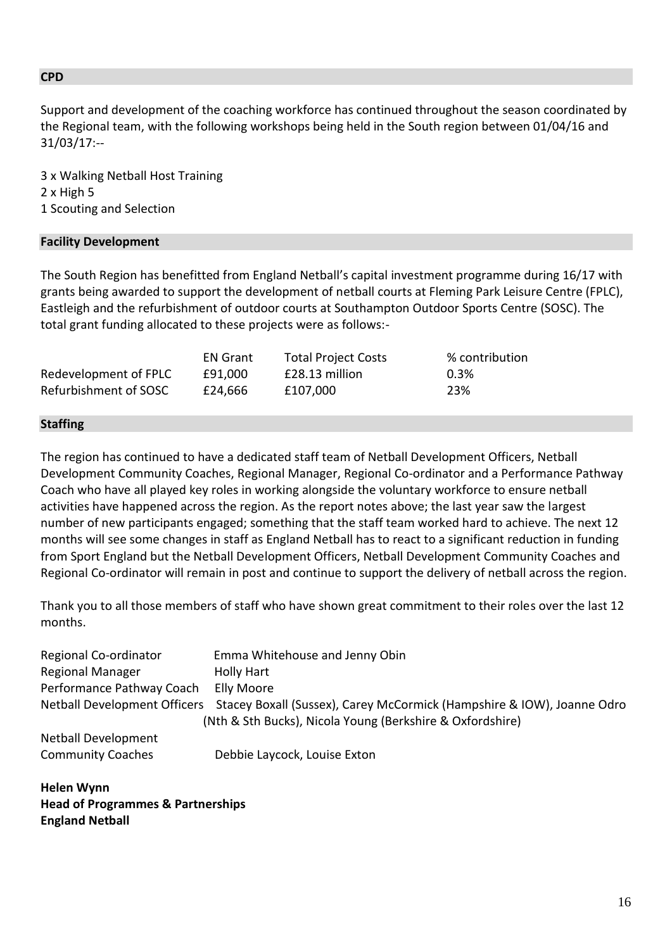#### **CPD**

Support and development of the coaching workforce has continued throughout the season coordinated by the Regional team, with the following workshops being held in the South region between 01/04/16 and 31/03/17:--

3 x Walking Netball Host Training 2 x High 5 1 Scouting and Selection

## **Facility Development**

The South Region has benefitted from England Netball's capital investment programme during 16/17 with grants being awarded to support the development of netball courts at Fleming Park Leisure Centre (FPLC), Eastleigh and the refurbishment of outdoor courts at Southampton Outdoor Sports Centre (SOSC). The total grant funding allocated to these projects were as follows:-

|                       | <b>EN Grant</b> | <b>Total Project Costs</b> | % contribution |
|-----------------------|-----------------|----------------------------|----------------|
| Redevelopment of FPLC | £91.000         | £28.13 million             | 0.3%           |
| Refurbishment of SOSC | £24.666         | £107.000                   | 23%            |

## **Staffing**

The region has continued to have a dedicated staff team of Netball Development Officers, Netball Development Community Coaches, Regional Manager, Regional Co-ordinator and a Performance Pathway Coach who have all played key roles in working alongside the voluntary workforce to ensure netball activities have happened across the region. As the report notes above; the last year saw the largest number of new participants engaged; something that the staff team worked hard to achieve. The next 12 months will see some changes in staff as England Netball has to react to a significant reduction in funding from Sport England but the Netball Development Officers, Netball Development Community Coaches and Regional Co-ordinator will remain in post and continue to support the delivery of netball across the region.

Thank you to all those members of staff who have shown great commitment to their roles over the last 12 months.

| Regional Co-ordinator        | Emma Whitehouse and Jenny Obin                                         |
|------------------------------|------------------------------------------------------------------------|
| <b>Regional Manager</b>      | <b>Holly Hart</b>                                                      |
| Performance Pathway Coach    | Elly Moore                                                             |
| Netball Development Officers | Stacey Boxall (Sussex), Carey McCormick (Hampshire & IOW), Joanne Odro |
|                              | (Nth & Sth Bucks), Nicola Young (Berkshire & Oxfordshire)              |
| <b>Netball Development</b>   |                                                                        |
| <b>Community Coaches</b>     | Debbie Laycock, Louise Exton                                           |
|                              |                                                                        |

**Helen Wynn Head of Programmes & Partnerships England Netball**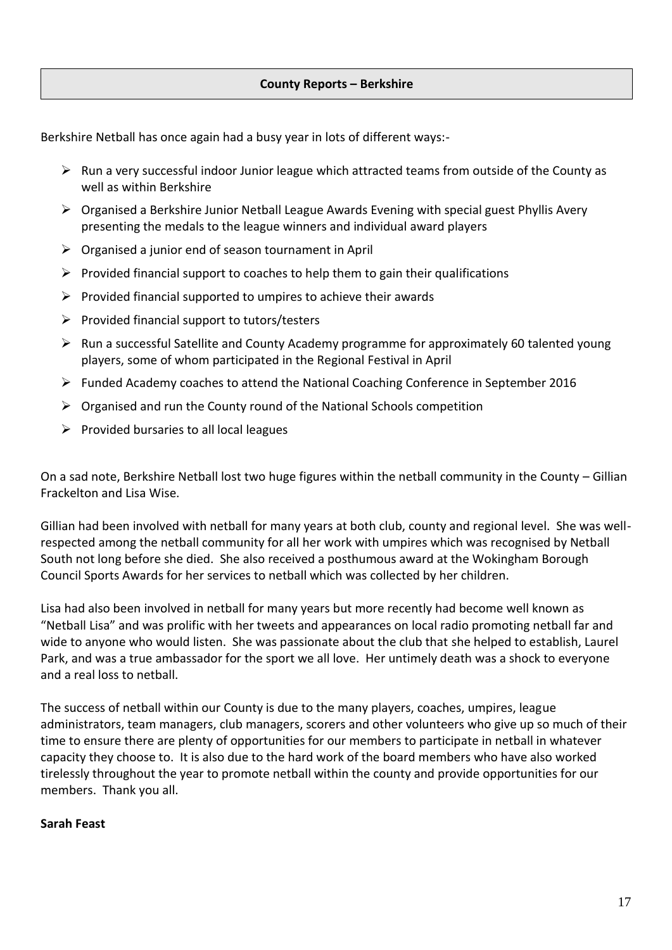## **County Reports – Berkshire**

Berkshire Netball has once again had a busy year in lots of different ways:-

- $\triangleright$  Run a very successful indoor Junior league which attracted teams from outside of the County as well as within Berkshire
- $\triangleright$  Organised a Berkshire Junior Netball League Awards Evening with special guest Phyllis Avery presenting the medals to the league winners and individual award players
- $\triangleright$  Organised a junior end of season tournament in April
- $\triangleright$  Provided financial support to coaches to help them to gain their qualifications
- $\triangleright$  Provided financial supported to umpires to achieve their awards
- $\triangleright$  Provided financial support to tutors/testers
- Run a successful Satellite and County Academy programme for approximately 60 talented young players, some of whom participated in the Regional Festival in April
- $\triangleright$  Funded Academy coaches to attend the National Coaching Conference in September 2016
- $\triangleright$  Organised and run the County round of the National Schools competition
- $\triangleright$  Provided bursaries to all local leagues

On a sad note, Berkshire Netball lost two huge figures within the netball community in the County – Gillian Frackelton and Lisa Wise.

Gillian had been involved with netball for many years at both club, county and regional level. She was wellrespected among the netball community for all her work with umpires which was recognised by Netball South not long before she died. She also received a posthumous award at the Wokingham Borough Council Sports Awards for her services to netball which was collected by her children.

Lisa had also been involved in netball for many years but more recently had become well known as "Netball Lisa" and was prolific with her tweets and appearances on local radio promoting netball far and wide to anyone who would listen. She was passionate about the club that she helped to establish, Laurel Park, and was a true ambassador for the sport we all love. Her untimely death was a shock to everyone and a real loss to netball.

The success of netball within our County is due to the many players, coaches, umpires, league administrators, team managers, club managers, scorers and other volunteers who give up so much of their time to ensure there are plenty of opportunities for our members to participate in netball in whatever capacity they choose to. It is also due to the hard work of the board members who have also worked tirelessly throughout the year to promote netball within the county and provide opportunities for our members. Thank you all.

#### **Sarah Feast**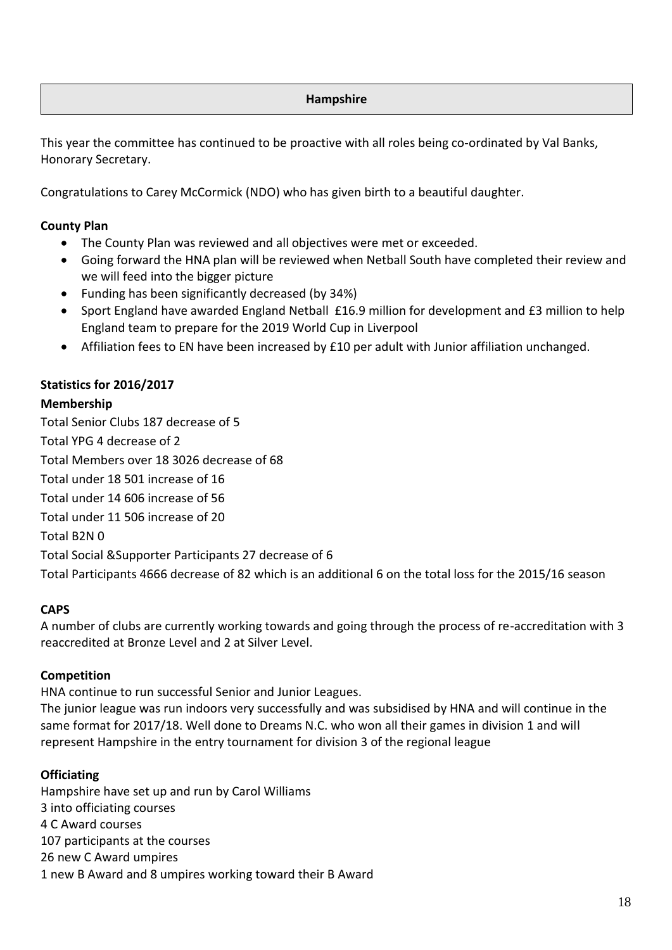## **Hampshire**

This year the committee has continued to be proactive with all roles being co-ordinated by Val Banks, Honorary Secretary.

Congratulations to Carey McCormick (NDO) who has given birth to a beautiful daughter.

## **County Plan**

- The County Plan was reviewed and all objectives were met or exceeded.
- Going forward the HNA plan will be reviewed when Netball South have completed their review and we will feed into the bigger picture
- Funding has been significantly decreased (by 34%)
- Sport England have awarded England Netball £16.9 million for development and £3 million to help England team to prepare for the 2019 World Cup in Liverpool
- Affiliation fees to EN have been increased by £10 per adult with Junior affiliation unchanged.

## **Statistics for 2016/2017**

#### **Membership**

Total Senior Clubs 187 decrease of 5 Total YPG 4 decrease of 2 Total Members over 18 3026 decrease of 68 Total under 18 501 increase of 16 Total under 14 606 increase of 56 Total under 11 506 increase of 20 Total B2N 0 Total Social &Supporter Participants 27 decrease of 6

Total Participants 4666 decrease of 82 which is an additional 6 on the total loss for the 2015/16 season

## **CAPS**

A number of clubs are currently working towards and going through the process of re-accreditation with 3 reaccredited at Bronze Level and 2 at Silver Level.

#### **Competition**

HNA continue to run successful Senior and Junior Leagues.

The junior league was run indoors very successfully and was subsidised by HNA and will continue in the same format for 2017/18. Well done to Dreams N.C. who won all their games in division 1 and will represent Hampshire in the entry tournament for division 3 of the regional league

#### **Officiating**

Hampshire have set up and run by Carol Williams 3 into officiating courses 4 C Award courses 107 participants at the courses 26 new C Award umpires 1 new B Award and 8 umpires working toward their B Award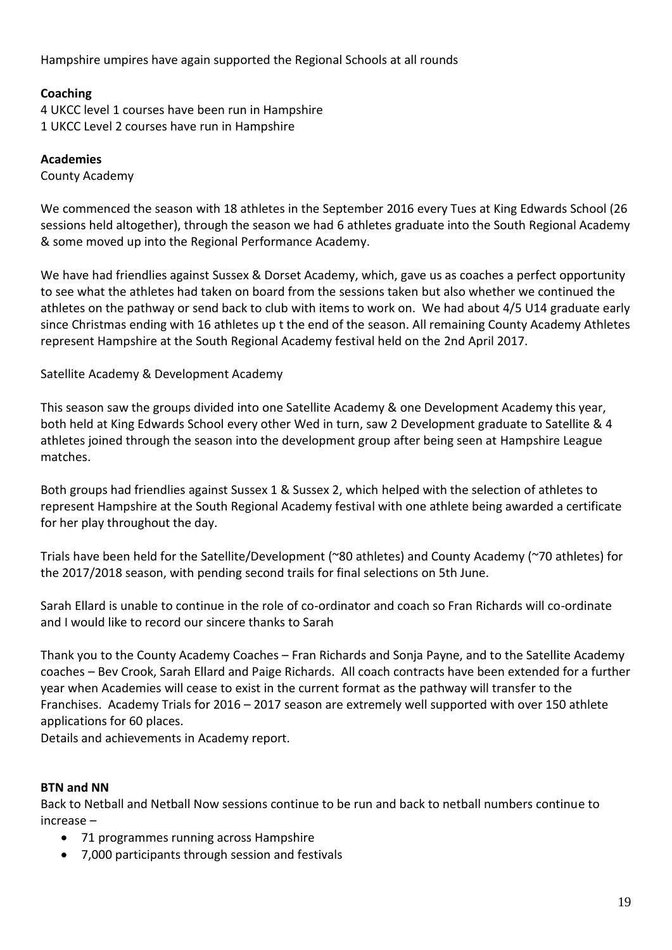Hampshire umpires have again supported the Regional Schools at all rounds

## **Coaching**

4 UKCC level 1 courses have been run in Hampshire 1 UKCC Level 2 courses have run in Hampshire

## **Academies**

County Academy

We commenced the season with 18 athletes in the September 2016 every Tues at King Edwards School (26 sessions held altogether), through the season we had 6 athletes graduate into the South Regional Academy & some moved up into the Regional Performance Academy.

We have had friendlies against Sussex & Dorset Academy, which, gave us as coaches a perfect opportunity to see what the athletes had taken on board from the sessions taken but also whether we continued the athletes on the pathway or send back to club with items to work on. We had about 4/5 U14 graduate early since Christmas ending with 16 athletes up t the end of the season. All remaining County Academy Athletes represent Hampshire at the South Regional Academy festival held on the 2nd April 2017.

## Satellite Academy & Development Academy

This season saw the groups divided into one Satellite Academy & one Development Academy this year, both held at King Edwards School every other Wed in turn, saw 2 Development graduate to Satellite & 4 athletes joined through the season into the development group after being seen at Hampshire League matches.

Both groups had friendlies against Sussex 1 & Sussex 2, which helped with the selection of athletes to represent Hampshire at the South Regional Academy festival with one athlete being awarded a certificate for her play throughout the day.

Trials have been held for the Satellite/Development (~80 athletes) and County Academy (~70 athletes) for the 2017/2018 season, with pending second trails for final selections on 5th June.

Sarah Ellard is unable to continue in the role of co-ordinator and coach so Fran Richards will co-ordinate and I would like to record our sincere thanks to Sarah

Thank you to the County Academy Coaches – Fran Richards and Sonja Payne, and to the Satellite Academy coaches – Bev Crook, Sarah Ellard and Paige Richards. All coach contracts have been extended for a further year when Academies will cease to exist in the current format as the pathway will transfer to the Franchises. Academy Trials for 2016 – 2017 season are extremely well supported with over 150 athlete applications for 60 places.

Details and achievements in Academy report.

## **BTN and NN**

Back to Netball and Netball Now sessions continue to be run and back to netball numbers continue to increase –

- 71 programmes running across Hampshire
- 7,000 participants through session and festivals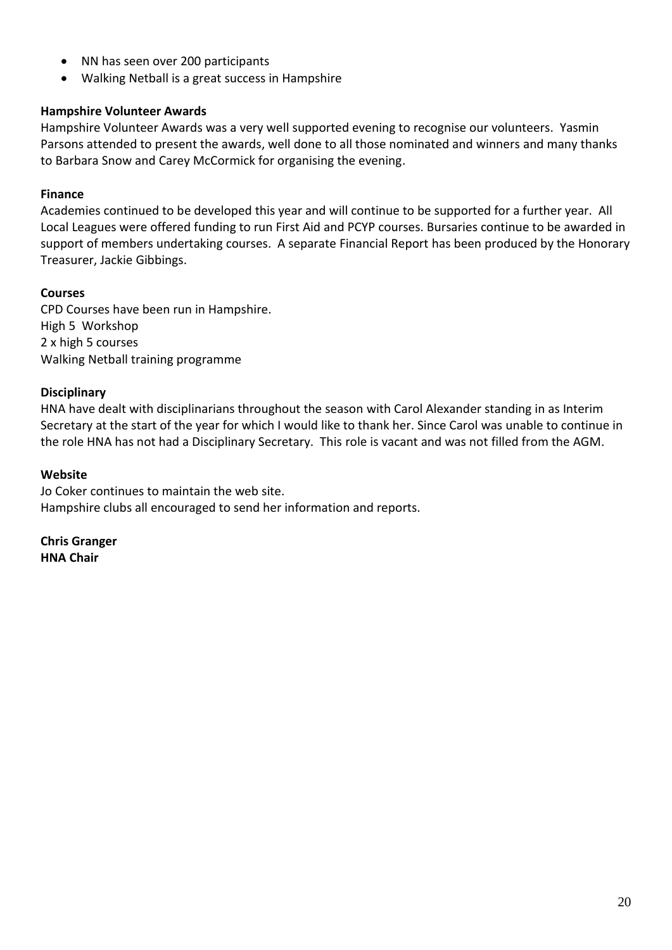- NN has seen over 200 participants
- Walking Netball is a great success in Hampshire

## **Hampshire Volunteer Awards**

Hampshire Volunteer Awards was a very well supported evening to recognise our volunteers. Yasmin Parsons attended to present the awards, well done to all those nominated and winners and many thanks to Barbara Snow and Carey McCormick for organising the evening.

## **Finance**

Academies continued to be developed this year and will continue to be supported for a further year. All Local Leagues were offered funding to run First Aid and PCYP courses. Bursaries continue to be awarded in support of members undertaking courses. A separate Financial Report has been produced by the Honorary Treasurer, Jackie Gibbings.

## **Courses**

CPD Courses have been run in Hampshire. High 5 Workshop 2 x high 5 courses Walking Netball training programme

## **Disciplinary**

HNA have dealt with disciplinarians throughout the season with Carol Alexander standing in as Interim Secretary at the start of the year for which I would like to thank her. Since Carol was unable to continue in the role HNA has not had a Disciplinary Secretary. This role is vacant and was not filled from the AGM.

#### **Website**

Jo Coker continues to maintain the web site. Hampshire clubs all encouraged to send her information and reports.

**Chris Granger HNA Chair**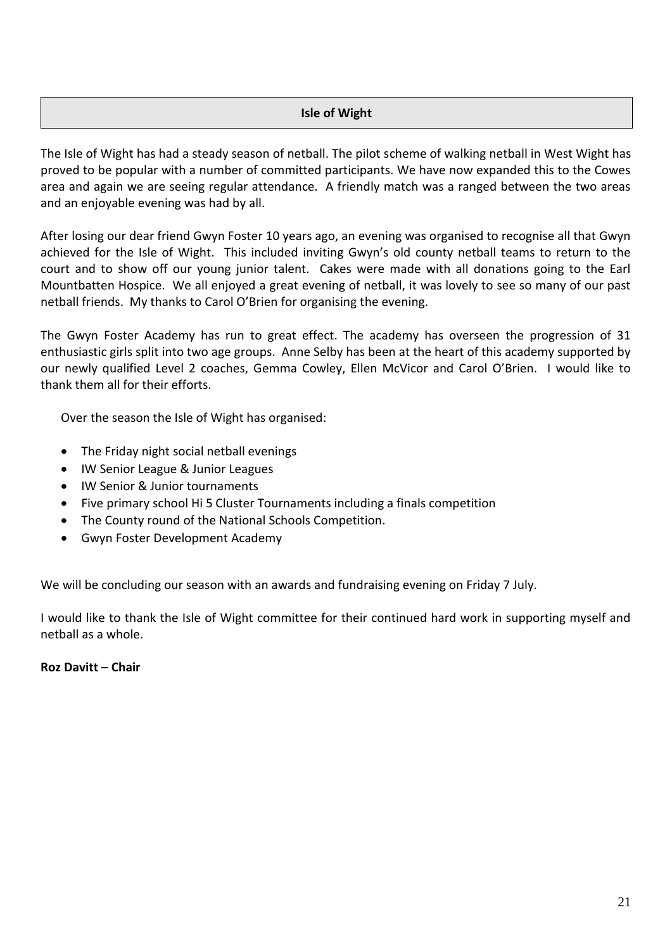## **Isle of Wight**

The Isle of Wight has had a steady season of netball. The pilot scheme of walking netball in West Wight has proved to be popular with a number of committed participants. We have now expanded this to the Cowes area and again we are seeing regular attendance. A friendly match was a ranged between the two areas and an enjoyable evening was had by all.

After losing our dear friend Gwyn Foster 10 years ago, an evening was organised to recognise all that Gwyn achieved for the Isle of Wight. This included inviting Gwyn's old county netball teams to return to the court and to show off our young junior talent. Cakes were made with all donations going to the Earl Mountbatten Hospice. We all enjoyed a great evening of netball, it was lovely to see so many of our past netball friends. My thanks to Carol O'Brien for organising the evening.

The Gwyn Foster Academy has run to great effect. The academy has overseen the progression of 31 enthusiastic girls split into two age groups. Anne Selby has been at the heart of this academy supported by our newly qualified Level 2 coaches, Gemma Cowley, Ellen McVicor and Carol O'Brien. I would like to thank them all for their efforts.

Over the season the Isle of Wight has organised:

- The Friday night social netball evenings
- IW Senior League & Junior Leagues
- IW Senior & Junior tournaments
- Five primary school Hi 5 Cluster Tournaments including a finals competition
- The County round of the National Schools Competition.
- Gwyn Foster Development Academy

We will be concluding our season with an awards and fundraising evening on Friday 7 July.

I would like to thank the Isle of Wight committee for their continued hard work in supporting myself and netball as a whole.

#### **Roz Davitt – Chair**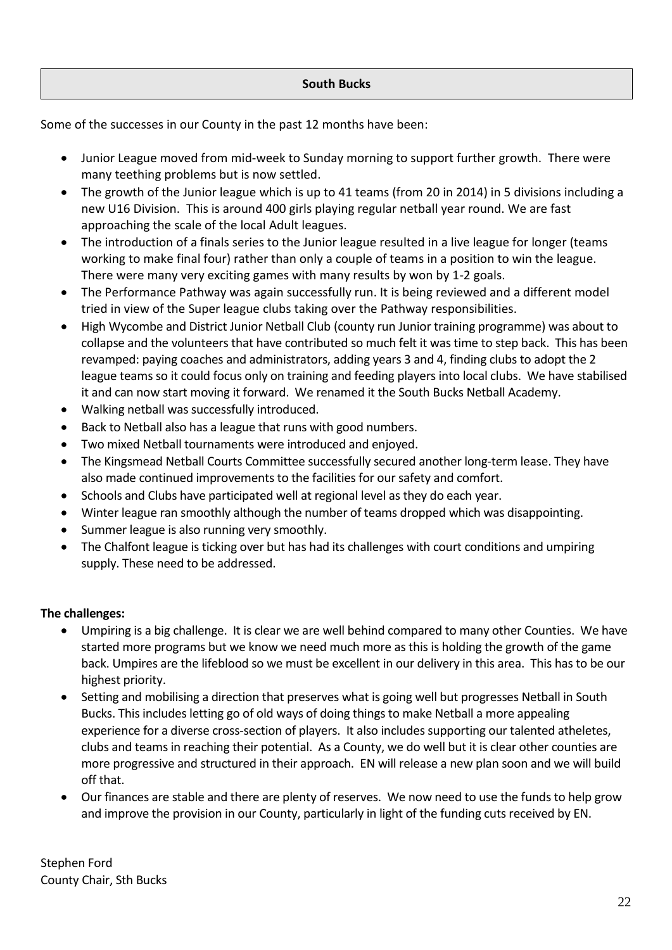## **South Bucks**

Some of the successes in our County in the past 12 months have been:

- Junior League moved from mid-week to Sunday morning to support further growth. There were many teething problems but is now settled.
- The growth of the Junior league which is up to 41 teams (from 20 in 2014) in 5 divisions including a new U16 Division. This is around 400 girls playing regular netball year round. We are fast approaching the scale of the local Adult leagues.
- The introduction of a finals series to the Junior league resulted in a live league for longer (teams working to make final four) rather than only a couple of teams in a position to win the league. There were many very exciting games with many results by won by 1-2 goals.
- The Performance Pathway was again successfully run. It is being reviewed and a different model tried in view of the Super league clubs taking over the Pathway responsibilities.
- High Wycombe and District Junior Netball Club (county run Junior training programme) was about to collapse and the volunteers that have contributed so much felt it was time to step back. This has been revamped: paying coaches and administrators, adding years 3 and 4, finding clubs to adopt the 2 league teams so it could focus only on training and feeding players into local clubs. We have stabilised it and can now start moving it forward. We renamed it the South Bucks Netball Academy.
- Walking netball was successfully introduced.
- Back to Netball also has a league that runs with good numbers.
- Two mixed Netball tournaments were introduced and enjoyed.
- The Kingsmead Netball Courts Committee successfully secured another long-term lease. They have also made continued improvements to the facilities for our safety and comfort.
- Schools and Clubs have participated well at regional level as they do each year.
- Winter league ran smoothly although the number of teams dropped which was disappointing.
- Summer league is also running very smoothly.
- The Chalfont league is ticking over but has had its challenges with court conditions and umpiring supply. These need to be addressed.

## **The challenges:**

- Umpiring is a big challenge. It is clear we are well behind compared to many other Counties. We have started more programs but we know we need much more as this is holding the growth of the game back. Umpires are the lifeblood so we must be excellent in our delivery in this area. This has to be our highest priority.
- Setting and mobilising a direction that preserves what is going well but progresses Netball in South Bucks. This includes letting go of old ways of doing things to make Netball a more appealing experience for a diverse cross-section of players. It also includes supporting our talented atheletes, clubs and teams in reaching their potential. As a County, we do well but it is clear other counties are more progressive and structured in their approach. EN will release a new plan soon and we will build off that.
- Our finances are stable and there are plenty of reserves. We now need to use the funds to help grow and improve the provision in our County, particularly in light of the funding cuts received by EN.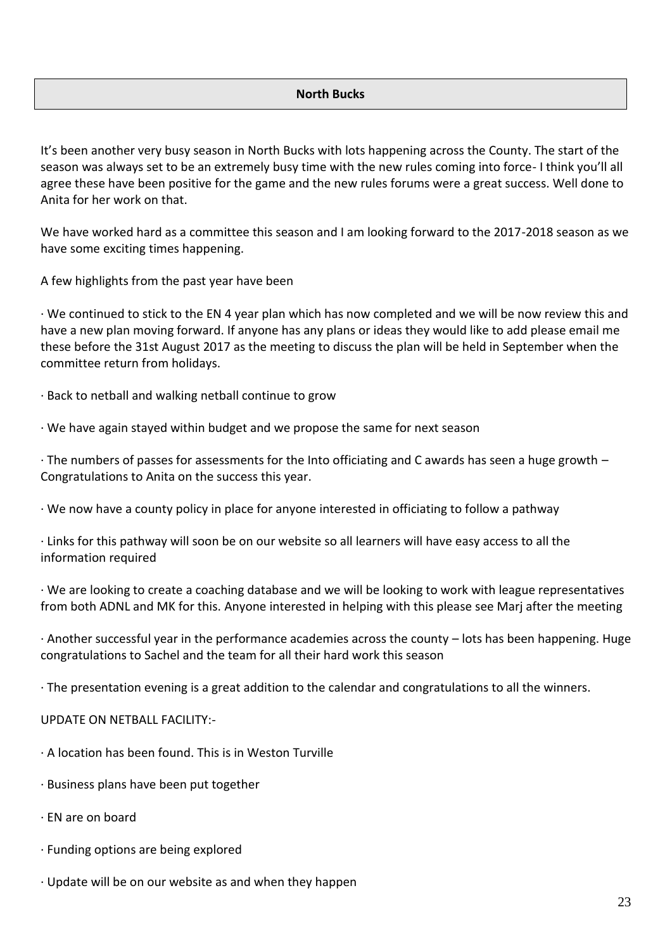#### **North Bucks**

It's been another very busy season in North Bucks with lots happening across the County. The start of the season was always set to be an extremely busy time with the new rules coming into force- I think you'll all agree these have been positive for the game and the new rules forums were a great success. Well done to Anita for her work on that.

We have worked hard as a committee this season and I am looking forward to the 2017-2018 season as we have some exciting times happening.

A few highlights from the past year have been

· We continued to stick to the EN 4 year plan which has now completed and we will be now review this and have a new plan moving forward. If anyone has any plans or ideas they would like to add please email me these before the 31st August 2017 as the meeting to discuss the plan will be held in September when the committee return from holidays.

· Back to netball and walking netball continue to grow

· We have again stayed within budget and we propose the same for next season

· The numbers of passes for assessments for the Into officiating and C awards has seen a huge growth – Congratulations to Anita on the success this year.

· We now have a county policy in place for anyone interested in officiating to follow a pathway

· Links for this pathway will soon be on our website so all learners will have easy access to all the information required

· We are looking to create a coaching database and we will be looking to work with league representatives from both ADNL and MK for this. Anyone interested in helping with this please see Marj after the meeting

· Another successful year in the performance academies across the county – lots has been happening. Huge congratulations to Sachel and the team for all their hard work this season

· The presentation evening is a great addition to the calendar and congratulations to all the winners.

UPDATE ON NETBALL FACILITY:-

- · A location has been found. This is in Weston Turville
- · Business plans have been put together
- · EN are on board
- · Funding options are being explored
- · Update will be on our website as and when they happen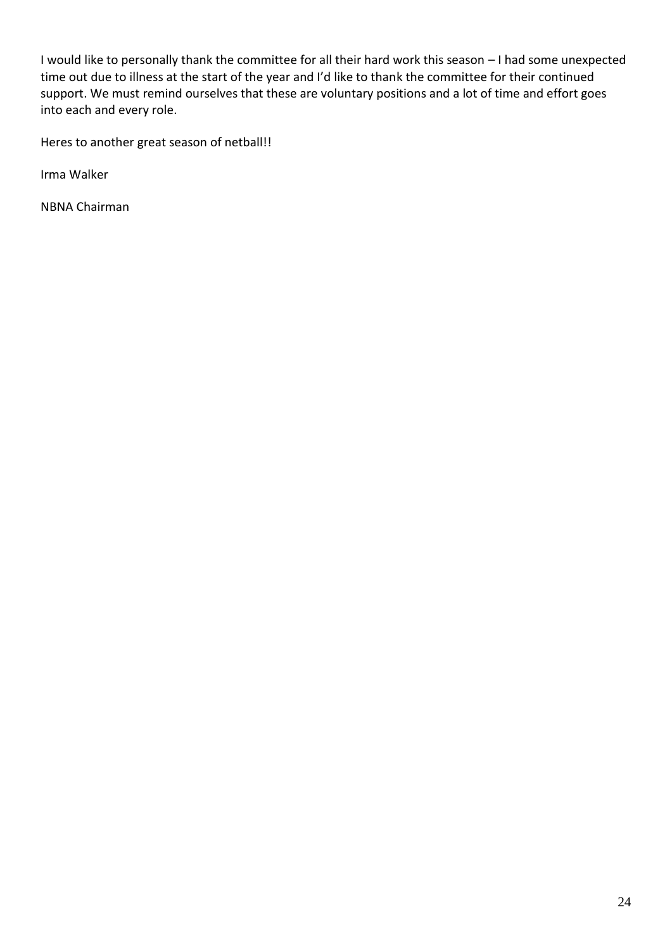I would like to personally thank the committee for all their hard work this season – I had some unexpected time out due to illness at the start of the year and I'd like to thank the committee for their continued support. We must remind ourselves that these are voluntary positions and a lot of time and effort goes into each and every role.

Heres to another great season of netball!!

Irma Walker

NBNA Chairman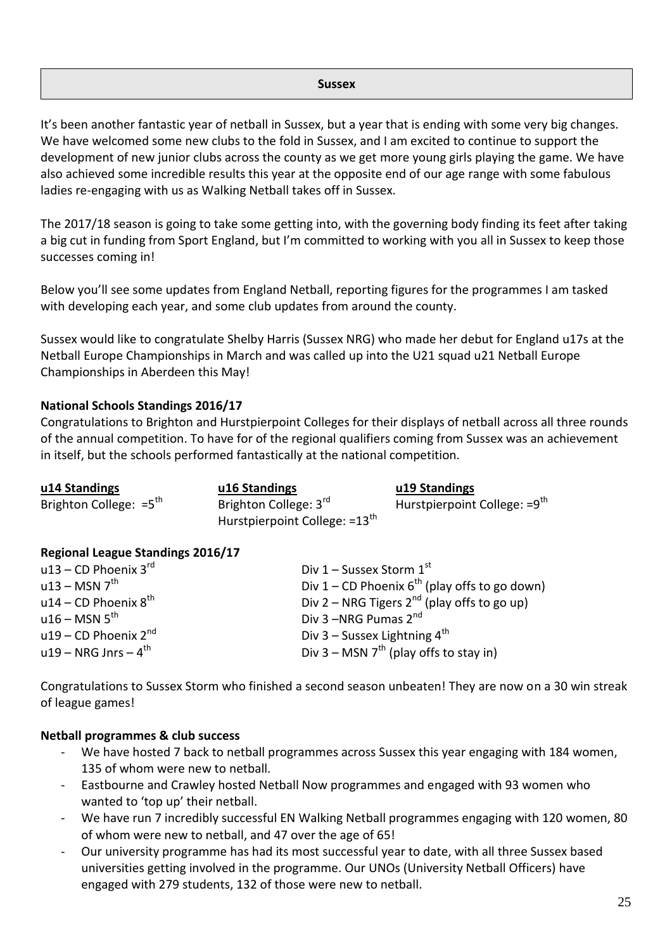#### **Sussex**

It's been another fantastic year of netball in Sussex, but a year that is ending with some very big changes. We have welcomed some new clubs to the fold in Sussex, and I am excited to continue to support the development of new junior clubs across the county as we get more young girls playing the game. We have also achieved some incredible results this year at the opposite end of our age range with some fabulous ladies re-engaging with us as Walking Netball takes off in Sussex.

The 2017/18 season is going to take some getting into, with the governing body finding its feet after taking a big cut in funding from Sport England, but I'm committed to working with you all in Sussex to keep those successes coming in!

Below you'll see some updates from England Netball, reporting figures for the programmes I am tasked with developing each year, and some club updates from around the county.

Sussex would like to congratulate Shelby Harris (Sussex NRG) who made her debut for England u17s at the Netball Europe Championships in March and was called up into the U21 squad u21 Netball Europe Championships in Aberdeen this May!

## **National Schools Standings 2016/17**

Congratulations to Brighton and Hurstpierpoint Colleges for their displays of netball across all three rounds of the annual competition. To have for of the regional qualifiers coming from Sussex was an achievement in itself, but the schools performed fantastically at the national competition.

| u14 Standings                      | u16 Standings                                                      | u19 Standings                            |
|------------------------------------|--------------------------------------------------------------------|------------------------------------------|
| Brighton College: $=5^{\text{th}}$ | Brighton College: 3rd<br>Hurstpierpoint College: =13 <sup>th</sup> | Hurstpierpoint College: =9 <sup>th</sup> |

#### **Regional League Standings 2016/17**

| u13 – CD Phoenix $3^{\text{rd}}$    | Div 1 – Sussex Storm $1st$                         |
|-------------------------------------|----------------------------------------------------|
| $u13 - MSN 7th$                     | Div 1 – CD Phoenix $6^{th}$ (play offs to go down) |
| u14 – CD Phoenix $8^{th}$           | Div 2 – NRG Tigers $2^{nd}$ (play offs to go up)   |
| $u16 - MSN 5$ <sup>th</sup>         | Div 3-NRG Pumas 2 <sup>nd</sup>                    |
| u19 – CD Phoenix $2^{nd}$           | Div 3 – Sussex Lightning $4^{\text{th}}$           |
| $u19 - NRG$ Jnrs $-4$ <sup>th</sup> | Div 3 – MSN $7^{th}$ (play offs to stay in)        |

Congratulations to Sussex Storm who finished a second season unbeaten! They are now on a 30 win streak of league games!

#### **Netball programmes & club success**

- We have hosted 7 back to netball programmes across Sussex this year engaging with 184 women, 135 of whom were new to netball.
- Eastbourne and Crawley hosted Netball Now programmes and engaged with 93 women who wanted to 'top up' their netball.
- We have run 7 incredibly successful EN Walking Netball programmes engaging with 120 women, 80 of whom were new to netball, and 47 over the age of 65!
- Our university programme has had its most successful year to date, with all three Sussex based universities getting involved in the programme. Our UNOs (University Netball Officers) have engaged with 279 students, 132 of those were new to netball.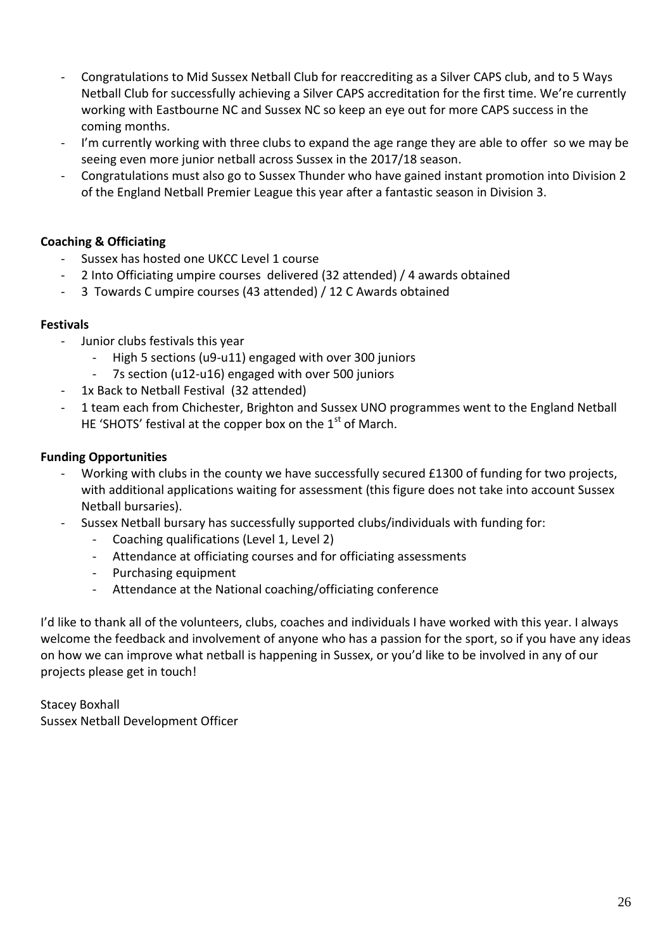- Congratulations to Mid Sussex Netball Club for reaccrediting as a Silver CAPS club, and to 5 Ways Netball Club for successfully achieving a Silver CAPS accreditation for the first time. We're currently working with Eastbourne NC and Sussex NC so keep an eye out for more CAPS success in the coming months.
- I'm currently working with three clubs to expand the age range they are able to offer so we may be seeing even more junior netball across Sussex in the 2017/18 season.
- Congratulations must also go to Sussex Thunder who have gained instant promotion into Division 2 of the England Netball Premier League this year after a fantastic season in Division 3.

## **Coaching & Officiating**

- Sussex has hosted one UKCC Level 1 course
- 2 Into Officiating umpire courses delivered (32 attended) / 4 awards obtained
- 3 Towards C umpire courses (43 attended) / 12 C Awards obtained

## **Festivals**

- Junior clubs festivals this year
	- High 5 sections (u9-u11) engaged with over 300 juniors
	- 7s section (u12-u16) engaged with over 500 juniors
	- 1x Back to Netball Festival (32 attended)
- 1 team each from Chichester, Brighton and Sussex UNO programmes went to the England Netball HE 'SHOTS' festival at the copper box on the  $1<sup>st</sup>$  of March.

## **Funding Opportunities**

- Working with clubs in the county we have successfully secured £1300 of funding for two projects, with additional applications waiting for assessment (this figure does not take into account Sussex Netball bursaries).
- Sussex Netball bursary has successfully supported clubs/individuals with funding for:
	- Coaching qualifications (Level 1, Level 2)
	- Attendance at officiating courses and for officiating assessments
	- Purchasing equipment
	- Attendance at the National coaching/officiating conference

I'd like to thank all of the volunteers, clubs, coaches and individuals I have worked with this year. I always welcome the feedback and involvement of anyone who has a passion for the sport, so if you have any ideas on how we can improve what netball is happening in Sussex, or you'd like to be involved in any of our projects please get in touch!

Stacey Boxhall Sussex Netball Development Officer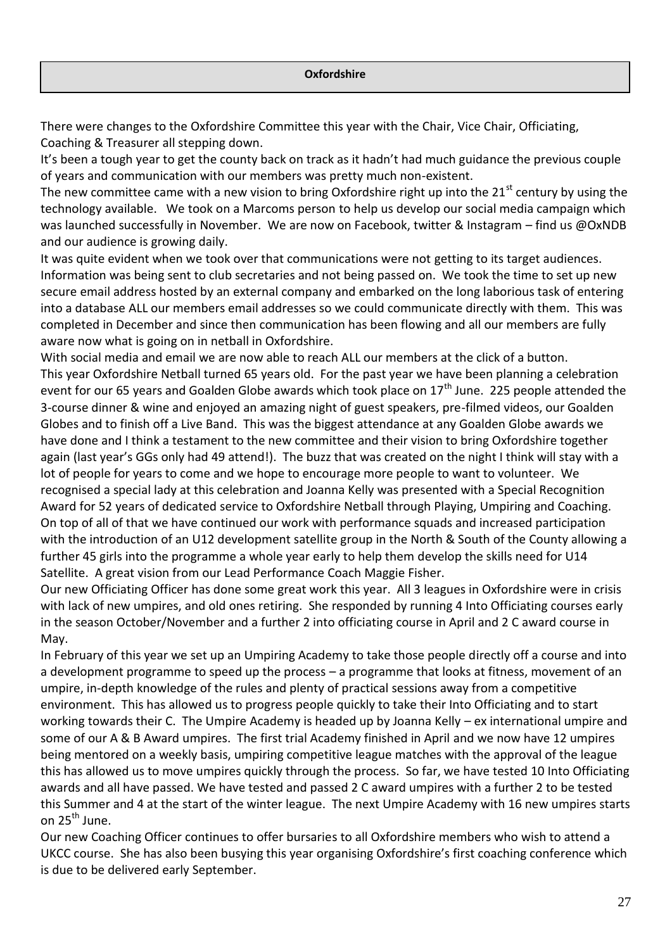There were changes to the Oxfordshire Committee this year with the Chair, Vice Chair, Officiating, Coaching & Treasurer all stepping down.

It's been a tough year to get the county back on track as it hadn't had much guidance the previous couple of years and communication with our members was pretty much non-existent.

The new committee came with a new vision to bring Oxfordshire right up into the 21 $^{\rm st}$  century by using the technology available. We took on a Marcoms person to help us develop our social media campaign which was launched successfully in November. We are now on Facebook, twitter & Instagram – find us @OxNDB and our audience is growing daily.

It was quite evident when we took over that communications were not getting to its target audiences. Information was being sent to club secretaries and not being passed on. We took the time to set up new secure email address hosted by an external company and embarked on the long laborious task of entering into a database ALL our members email addresses so we could communicate directly with them. This was completed in December and since then communication has been flowing and all our members are fully aware now what is going on in netball in Oxfordshire.

With social media and email we are now able to reach ALL our members at the click of a button. This year Oxfordshire Netball turned 65 years old. For the past year we have been planning a celebration event for our 65 years and Goalden Globe awards which took place on 17<sup>th</sup> June. 225 people attended the 3-course dinner & wine and enjoyed an amazing night of guest speakers, pre-filmed videos, our Goalden Globes and to finish off a Live Band. This was the biggest attendance at any Goalden Globe awards we have done and I think a testament to the new committee and their vision to bring Oxfordshire together again (last year's GGs only had 49 attend!). The buzz that was created on the night I think will stay with a lot of people for years to come and we hope to encourage more people to want to volunteer. We recognised a special lady at this celebration and Joanna Kelly was presented with a Special Recognition Award for 52 years of dedicated service to Oxfordshire Netball through Playing, Umpiring and Coaching. On top of all of that we have continued our work with performance squads and increased participation with the introduction of an U12 development satellite group in the North & South of the County allowing a further 45 girls into the programme a whole year early to help them develop the skills need for U14 Satellite. A great vision from our Lead Performance Coach Maggie Fisher.

Our new Officiating Officer has done some great work this year. All 3 leagues in Oxfordshire were in crisis with lack of new umpires, and old ones retiring. She responded by running 4 Into Officiating courses early in the season October/November and a further 2 into officiating course in April and 2 C award course in May.

In February of this year we set up an Umpiring Academy to take those people directly off a course and into a development programme to speed up the process – a programme that looks at fitness, movement of an umpire, in-depth knowledge of the rules and plenty of practical sessions away from a competitive environment. This has allowed us to progress people quickly to take their Into Officiating and to start working towards their C. The Umpire Academy is headed up by Joanna Kelly – ex international umpire and some of our A & B Award umpires. The first trial Academy finished in April and we now have 12 umpires being mentored on a weekly basis, umpiring competitive league matches with the approval of the league this has allowed us to move umpires quickly through the process. So far, we have tested 10 Into Officiating awards and all have passed. We have tested and passed 2 C award umpires with a further 2 to be tested this Summer and 4 at the start of the winter league. The next Umpire Academy with 16 new umpires starts on 25<sup>th</sup> June.

Our new Coaching Officer continues to offer bursaries to all Oxfordshire members who wish to attend a UKCC course. She has also been busying this year organising Oxfordshire's first coaching conference which is due to be delivered early September.